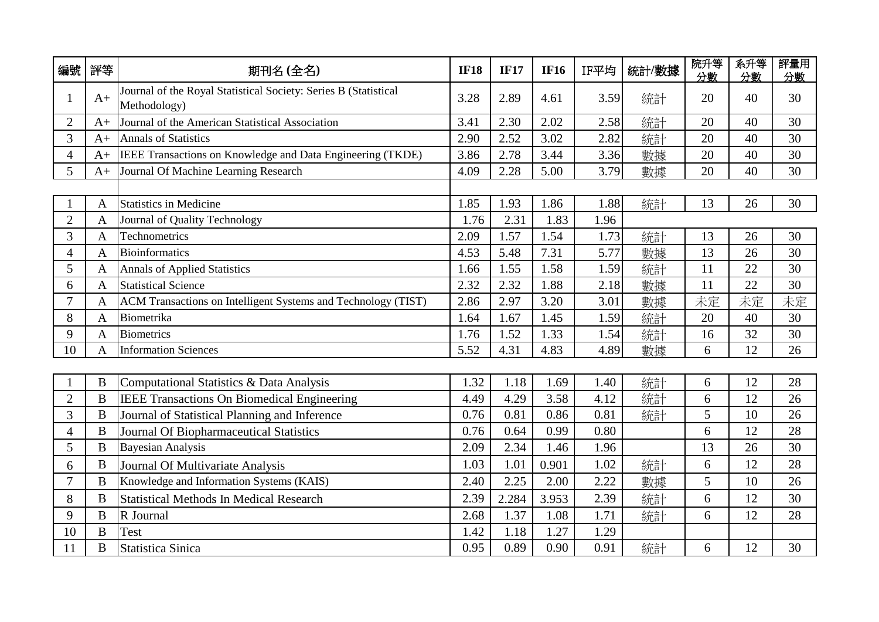| 編號             | 評等             | 期刊名(全名)                                                                         | <b>IF18</b> | <b>IF17</b> | <b>IF16</b> | IF平均 | 統計/數據 | 院升等<br>分數 | 系升等<br>分數 | 評量用<br>分數 |
|----------------|----------------|---------------------------------------------------------------------------------|-------------|-------------|-------------|------|-------|-----------|-----------|-----------|
| 1              | $A+$           | Journal of the Royal Statistical Society: Series B (Statistical<br>Methodology) | 3.28        | 2.89        | 4.61        | 3.59 | 統計    | 20        | 40        | 30        |
| $\overline{2}$ | $A+$           | Journal of the American Statistical Association                                 | 3.41        | 2.30        | 2.02        | 2.58 | 統計    | 20        | 40        | 30        |
| 3              | $A+$           | <b>Annals of Statistics</b>                                                     | 2.90        | 2.52        | 3.02        | 2.82 | 統計    | 20        | 40        | 30        |
| $\overline{4}$ | $A+$           | IEEE Transactions on Knowledge and Data Engineering (TKDE)                      | 3.86        | 2.78        | 3.44        | 3.36 | 數據    | 20        | 40        | 30        |
| 5              | $A+$           | Journal Of Machine Learning Research                                            | 4.09        | 2.28        | 5.00        | 3.79 | 數據    | 20        | 40        | 30        |
|                |                |                                                                                 |             |             |             |      |       |           |           |           |
|                | A              | <b>Statistics in Medicine</b>                                                   | 1.85        | 1.93        | 1.86        | 1.88 | 統計    | 13        | 26        | 30        |
| $\overline{2}$ | A              | Journal of Quality Technology                                                   | 1.76        | 2.31        | 1.83        | 1.96 |       |           |           |           |
| 3              | $\mathbf{A}$   | Technometrics                                                                   | 2.09        | 1.57        | 1.54        | 1.73 | 統計    | 13        | 26        | 30        |
| $\overline{4}$ | A              | Bioinformatics                                                                  | 4.53        | 5.48        | 7.31        | 5.77 | 數據    | 13        | 26        | 30        |
| 5              | A              | <b>Annals of Applied Statistics</b>                                             | 1.66        | 1.55        | 1.58        | 1.59 | 統計    | 11        | 22        | 30        |
| 6              | $\mathbf{A}$   | <b>Statistical Science</b>                                                      | 2.32        | 2.32        | 1.88        | 2.18 | 數據    | 11        | 22        | 30        |
| 7              | A              | ACM Transactions on Intelligent Systems and Technology (TIST)                   | 2.86        | 2.97        | 3.20        | 3.01 | 數據    | 未定        | 未定        | 未定        |
| 8              | A              | Biometrika                                                                      | 1.64        | 1.67        | 1.45        | 1.59 | 統計    | 20        | 40        | 30        |
| 9              | A              | <b>Biometrics</b>                                                               | 1.76        | 1.52        | 1.33        | 1.54 | 統計    | 16        | 32        | 30        |
| 10             | A              | <b>Information Sciences</b>                                                     | 5.52        | 4.31        | 4.83        | 4.89 | 數據    | 6         | 12        | 26        |
|                |                |                                                                                 |             |             |             |      |       |           |           |           |
|                | B              | Computational Statistics & Data Analysis                                        | 1.32        | 1.18        | 1.69        | 1.40 | 統計    | 6         | 12        | 28        |
| $\overline{2}$ | B              | <b>IEEE Transactions On Biomedical Engineering</b>                              | 4.49        | 4.29        | 3.58        | 4.12 | 統計    | 6         | 12        | 26        |
| $\overline{3}$ | $\bf{B}$       | Journal of Statistical Planning and Inference                                   | 0.76        | 0.81        | 0.86        | 0.81 | 統計    | 5         | 10        | 26        |
| $\overline{4}$ | B              | Journal Of Biopharmaceutical Statistics                                         | 0.76        | 0.64        | 0.99        | 0.80 |       | 6         | 12        | 28        |
| 5              | $\, {\bf B}$   | <b>Bayesian Analysis</b>                                                        | 2.09        | 2.34        | 1.46        | 1.96 |       | 13        | 26        | 30        |
| 6              | B              | Journal Of Multivariate Analysis                                                | 1.03        | 1.01        | 0.901       | 1.02 | 統計    | 6         | 12        | 28        |
| $\overline{7}$ | $\, {\bf B}$   | Knowledge and Information Systems (KAIS)                                        | 2.40        | 2.25        | 2.00        | 2.22 | 數據    | 5         | 10        | 26        |
| 8              | B              | <b>Statistical Methods In Medical Research</b>                                  | 2.39        | 2.284       | 3.953       | 2.39 | 統計    | 6         | 12        | 30        |
| 9              | $\bf{B}$       | R Journal                                                                       | 2.68        | 1.37        | 1.08        | 1.71 | 統計    | 6         | 12        | 28        |
| 10             | B              | <b>Test</b>                                                                     | 1.42        | 1.18        | 1.27        | 1.29 |       |           |           |           |
| 11             | $\overline{B}$ | <b>Statistica Sinica</b>                                                        | 0.95        | 0.89        | 0.90        | 0.91 | 統計    | 6         | 12        | 30        |